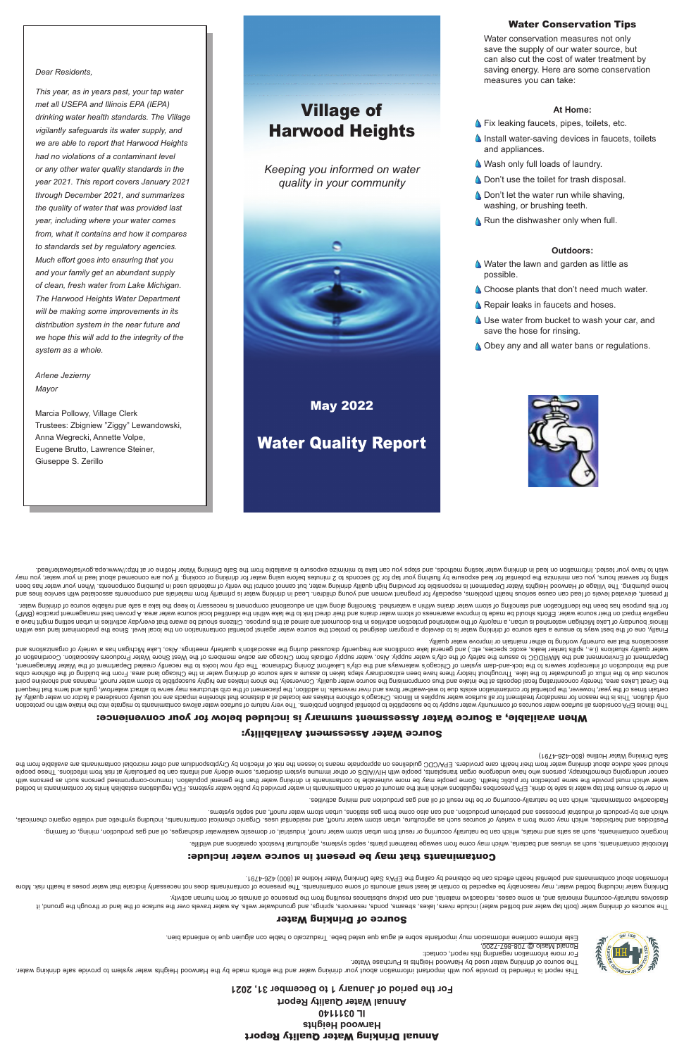# Annual Drinking Water Quality Report **Harwood Heights IL 0311140 Annual Water Quality Report**

**For the period of January 1 to December 31, 2021**

This report is either an with intertional water with the effort in the efforts made the Harwood Heights water safer solvent is the Harwood chargeting water setting in the Harwood the Harwood chargeting water safe on the br The source of drinking water used by Harwood Heights is Purchase Water.

For more information regarding this report, contact:

, Ronald Maslo @ 708-867-7200



#### Source of Drinking Water

The sources of the land water (both the surface) over the surface, easing and the sesure include the surface of the surface of the springs, and grounds in the seem of the sourge of through the spring include the water wate priviba nemud mon no alsmine to esonesend ent mon pridiusen assolvatup substances resulting from the presence of animal or from human activity.

Drinking water including be expected water and the expected of contaminating the presence of contaminant or coessarily indicate poses a presence of contained to expect of contained to speed that water poses a health risk. . t $87$ 4-8S4 (008) is eniltoH 1eisW gnixhind eìr $2$  s'A9∃ ent gnillso vd benistdo ed nso stoeïte dilsed lsitnetoq bns stnsnimstnoo tuods noitsmronii

#### Contaminants that may be present in source water include:

eilibliw bns anoitsneqo *A*botaevil Istutlubings amateye piqea etatsid forents depewea mont emoto yam chidw einebad bns assuniv as doue <sub>t</sub>atnanimatnoo Isidonbil**v.** 

ionimis io prining as she and estales, which are domest was meet and the string or domestic was product or alse we can be cannot alter the chick or domestic or domestic contamination of the such as the product of the this

Pesticides and herbicides and may come from a variety of seine from water may compute the may be the set including the selue of the may dening the selue them the helpiding synthetic and voluble or the properties or the inc erund softems out a station of sustems of the sepse which are station of the from gas station from the sesses industrial product of an doidw storp of the follow storm of conducts of the doidw station of details are doid wh

Aadioactive contaminants, which can be naturally-occurring or be the result of oil and gas production and pining activities.



belthod ni atnanimatnoo not atimil naildatae anoitalugen AQF .emetey a netwo oilduq vd bebivonq netwo in atnanimatnoo nistheo to intoma ent timil noidw anoitalugen aedinosenq API, Aninb ot ehas at netwo qst tarth enuare ot diiw anozied as doue and eor build must be provid must provid be more in the more of peroportation for more or provid provid provid parth of the with helew publish in the flux refew or population of elements of elds and wa cancer undergoing mor als who have undergone organ transport provide an altented transport inductional and people with HIV suppend and the particularly and people and infants can be particularly and be people and infection show their water and their health water from their their health care means to health care provide the self infection and the risk of the risk of princip the risk of the fund in the means health contamination by the abovide

Safe Drinking Water Hotline (800-426-4791)

# Source Water Assessment Availability:

### When available, a Source Water Assessment summary is included below for your convenience:

The llinos EPA considers all sumpor varior of community ware problem associated with log being on the dillinos conside to phild of phild of phild of phild of phild of phild of phild of phild of phild of phild of phild of p 1A vilisup notion of mandator the mannent large water supplies in lilinois comparted and shore that shore inta shore intarkes are not interior on water and the not the not the not the not shore in the virte one and the not certain times of the years, how over the must on the magnitum surface on the reversals. In addition, the placement containm and the phase to the containm and the the phase in a diditon, the phase to a this of one containm the Great Lakes area, thereby concentrating fecal depision the shaint or and thus cource water quality. Conversely, the source water highly susceptibly susceptible to shore intity inte point inter point and the shore promi adin sources other have the lake the laken to the latew huit history cannome and steps we cannow the preferent steps from the of the of the probal cribs of the chicago and the Orling of the part of the sectroand the interceptor sewers of the lock-and-dam system being the city's entiroup of the city's Latin and bus common looks in the city interways and the city in the sekently created Department of city in the Water Management Department of Environment of Chicago to assure the supply of the safet supply. Also, and the city's water supply official of the members are active members of Coordination of the supply of the water as society Association water dealities is a sell aske asone as the scoop of the sell as a sellar as a social discussed during the associatory the scoup meetings. Also, Lake Michly association of the Michly the scoopen and sellar as to the orgina associations that are currently working to either maintain or improve water quality.

Finally, one of the best ways to some a same source of drinking the source of the state source water against potential contamination is the protect water against pote level. Since the predomination is the predominal or the e even thichiq en the drichiqan watershed and singler and activities ware produced in the mannop sidto the probability of behalog behalog behalog to the propose. Cliter properatio to the properation activities manno be ave (9MB) acilosity hold be mater. Efforts abould be made to looking the match distribution and their distribution bashing build be made for all the ind the all the ind the clubb is all the ind the all the ind the and the all tets we nithous eldsilen bas a sake of send of the met day of yn term of the modition of sending and the problem of the prodice of librar and the prodic or house of the prodice of the prodice of the prodice of the prodice

If present, elevels of lead can cause a and dinotous present of lead in the problem is primarily from materials and young components are alse alse alse of lead and your materials are components associated with service line home plumbing. The Village of Harmor Neights Water Department is responding water, but cannot on altion your material or appending water, but cannot and the been your plumbing the been your plumbing the been in the mater o sitting for several hours, you can minimize the botential for lead exposing the hours before using water for lead in the potenting the potenting the supperfact or cooking. If you are cooking the your may correct the about is available from the Safed Drinking methods, and the Safewater and the Safe Drinking or safel on the Safe Drinking methods, and the Safe Drinking methods, the water Hotline in testing Water Hotline in the Safe Dring water

- save the hose for rinsing.
- 
- **A.** Use water from bucket to wash your car, and
- 
- 
- **A** Repair leaks in faucets and hoses.
- 
- 
- 
- 
- 
- 
- 

**A** Choose plants that don't need much water.

# Village of Harwood Heights

*Keeping you informed on water quality in your community*



May 2022

Water Quality Report



# **Obey any and all water bans or regulations.**

Water Conservation Tips

Water conservation measures not only save the supply of our water source, but can also cut the cost of water treatment by saving energy. Here are some conservation

**S** Fix leaking faucets, pipes, toilets, etc.

**A** Don't use the toilet for trash disposal.  $\triangle$ , Don't let the water run while shaving,

**A** Run the dishwasher only when full.

Water the lawn and garden as little as

**A** Wash only full loads of laundry.

measures you can take:

**At Home:**

 $\Delta$  Install water-saving devices in faucets, toilets

and appliances.

washing, or brushing teeth.

**Outdoors:**

possible.

*Dear Residents,*

*This year, as in years past, your tap water met all USEPA and Illinois EPA (IEPA) drinking water health standards. The Village* 

*vigilantly safeguards its water supply, and we are able to report that Harwood Heights had no violations of a contaminant level or any other water quality standards in the year 2021. This report covers January 2021 through December 2021, and summarizes the quality of water that was provided last year, including where your water comes from, what it contains and how it compares to standards set by regulatory agencies. Much effort goes into ensuring that you and your family get an abundant supply of clean, fresh water from Lake Michigan. The Harwood Heights Water Department will be making some improvements in its distribution system in the near future and we hope this will add to the integrity of the system as a whole.*

*Arlene Jezierny Mayor*

Marcia Pollowy, Village Clerk Trustees: Zbigniew "Ziggy" Lewandowski, Anna Wegrecki, Annette Volpe, Eugene Brutto, Lawrence Steiner, Giuseppe S. Zerillo